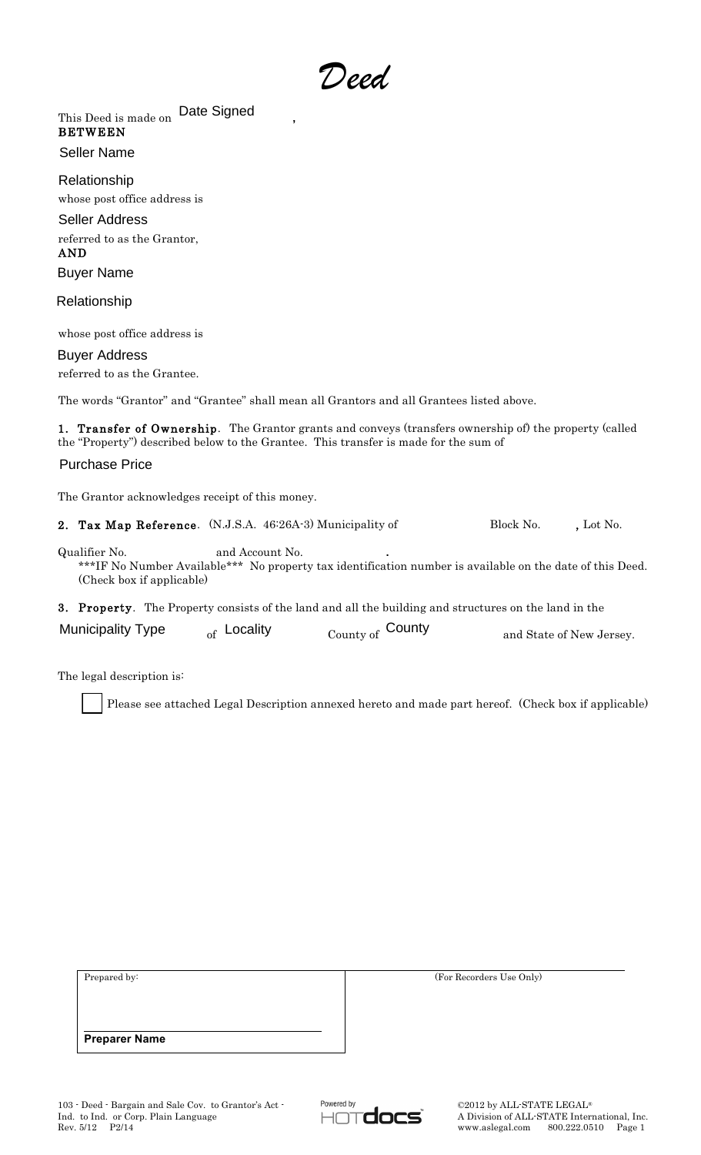*Deed*

This Deed is made on **Date Signed** , BETWEEN Seller Name

whose post office address is Relationship

referred to as the Grantor, AND Seller Address

Buyer Name

Relationship

whose post office address is

referred to as the Grantee. Buyer Address

The words "Grantor" and "Grantee" shall mean all Grantors and all Grantees listed above.

1. Transfer of Ownership. The Grantor grants and conveys (transfers ownership of) the property (called the "Property") described below to the Grantee. This transfer is made for the sum of

## Purchase Price

The Grantor acknowledges receipt of this money.

2. Tax Map Reference. (N.J.S.A. 46:26A-3) Municipality of Block No. , Lot No.

Qualifier No. and Account No. **.** \*\*\*IF No Number Available\*\*\* No property tax identification number is available on the date of this Deed. (Check box if applicable)

3. Property. The Property consists of the land and all the building and structures on the land in the

| <b>Municipality Type</b> | <sub>of</sub> Locality | $_{\text{Country of}}$ County | and State of New Jersey. |
|--------------------------|------------------------|-------------------------------|--------------------------|
|--------------------------|------------------------|-------------------------------|--------------------------|

The legal description is:

Please see attached Legal Description annexed hereto and made part hereof. (Check box if applicable)

| Prepared by:         | (For Recorders Use Only) |  |
|----------------------|--------------------------|--|
|                      |                          |  |
|                      |                          |  |
| <b>Preparer Name</b> |                          |  |